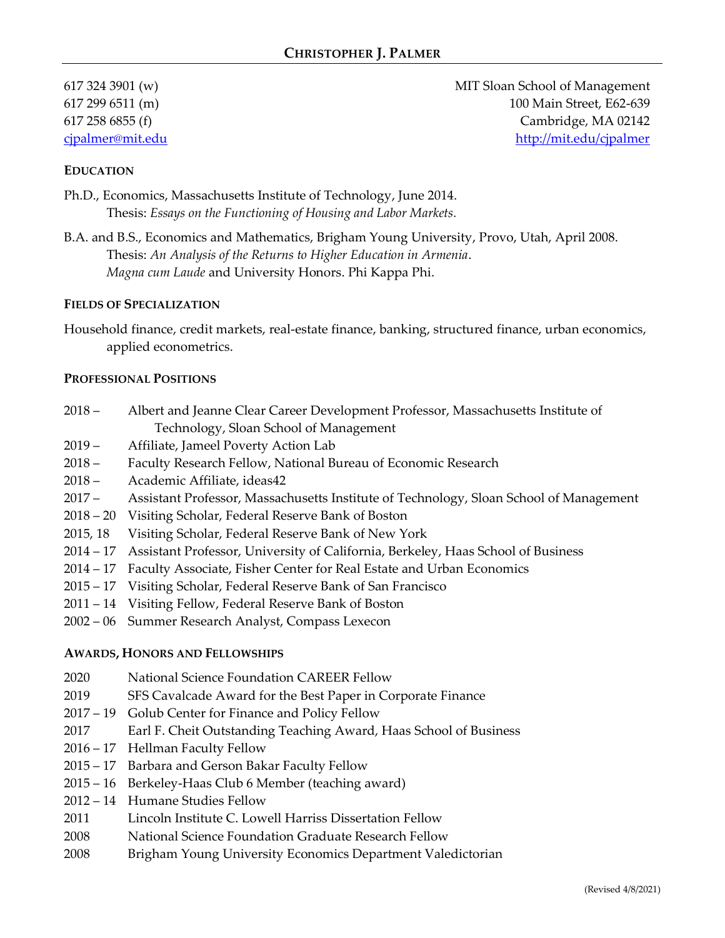617 324 3901 (w) MIT Sloan School of Management 617 299 6511 (m) 100 Main Street, E62-639 617 258 6855 (f) Cambridge, MA 02142 [cjpalmer@mit.edu](mailto:cjpalmer@mit.edu) <http://mit.edu/cjpalmer>

#### **EDUCATION**

- Ph.D., Economics, Massachusetts Institute of Technology, June 2014. Thesis: *Essays on the Functioning of Housing and Labor Markets.*
- B.A. and B.S., Economics and Mathematics, Brigham Young University, Provo, Utah, April 2008. Thesis: *An Analysis of the Returns to Higher Education in Armenia*. *Magna cum Laude* and University Honors. Phi Kappa Phi.

#### **FIELDS OF SPECIALIZATION**

Household finance, credit markets, real-estate finance, banking, structured finance, urban economics, applied econometrics.

#### **PROFESSIONAL POSITIONS**

- 2018 Albert and Jeanne Clear Career Development Professor, Massachusetts Institute of Technology, Sloan School of Management
- 2019 Affiliate, Jameel Poverty Action Lab
- 2018 Faculty Research Fellow, National Bureau of Economic Research
- 2018 Academic Affiliate, ideas42
- 2017 Assistant Professor, Massachusetts Institute of Technology, Sloan School of Management
- 2018 20 Visiting Scholar, Federal Reserve Bank of Boston
- 2015, 18 Visiting Scholar, Federal Reserve Bank of New York
- 2014 17 Assistant Professor, University of California, Berkeley, Haas School of Business
- 2014 17 Faculty Associate, Fisher Center for Real Estate and Urban Economics
- 2015 17 Visiting Scholar, Federal Reserve Bank of San Francisco
- 2011 14 Visiting Fellow, Federal Reserve Bank of Boston
- 2002 06 Summer Research Analyst, Compass Lexecon

#### **AWARDS, HONORS AND FELLOWSHIPS**

- 2020 National Science Foundation CAREER Fellow
- 2019 SFS Cavalcade Award for the Best Paper in Corporate Finance
- 2017 19 Golub Center for Finance and Policy Fellow
- 2017 Earl F. Cheit Outstanding Teaching Award, Haas School of Business
- 2016 17 Hellman Faculty Fellow
- 2015 17 Barbara and Gerson Bakar Faculty Fellow
- 2015 16 Berkeley-Haas Club 6 Member (teaching award)
- 2012 14 Humane Studies Fellow
- 2011 Lincoln Institute C. Lowell Harriss Dissertation Fellow
- 2008 National Science Foundation Graduate Research Fellow
- 2008 Brigham Young University Economics Department Valedictorian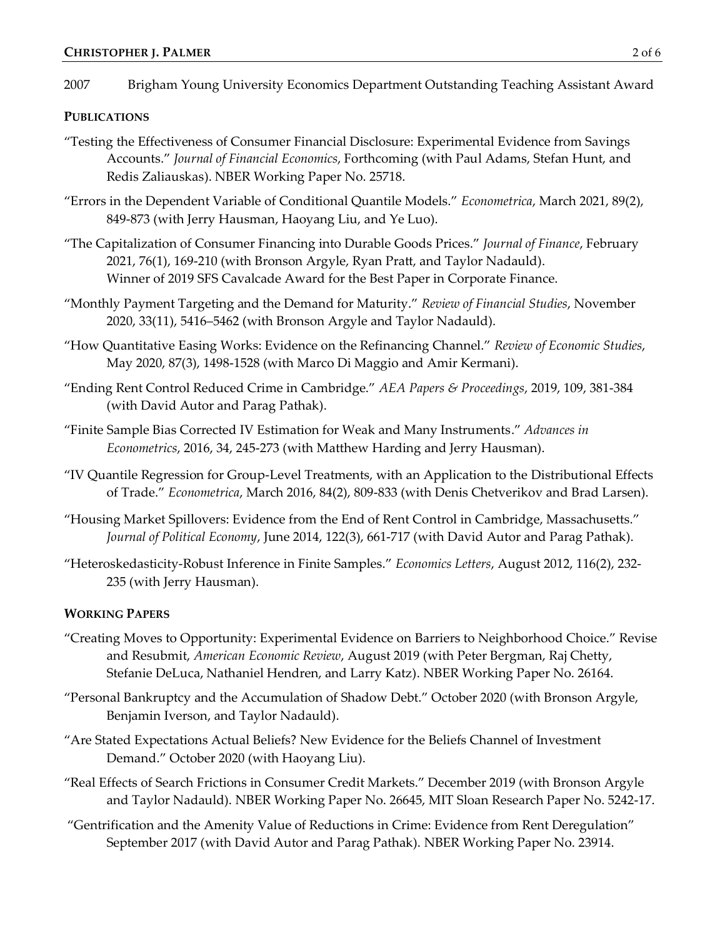2007 Brigham Young University Economics Department Outstanding Teaching Assistant Award

### **PUBLICATIONS**

- "Testing the Effectiveness of Consumer Financial Disclosure: Experimental Evidence from Savings Accounts." *Journal of Financial Economics*, Forthcoming (with Paul Adams, Stefan Hunt, and Redis Zaliauskas). NBER Working Paper No. 25718.
- "Errors in the Dependent Variable of Conditional Quantile Models." *Econometrica*, March 2021, 89(2), 849-873 (with Jerry Hausman, Haoyang Liu, and Ye Luo).
- "The Capitalization of Consumer Financing into Durable Goods Prices." *Journal of Finance*, February 2021, 76(1), 169-210 (with Bronson Argyle, Ryan Pratt, and Taylor Nadauld). Winner of 2019 SFS Cavalcade Award for the Best Paper in Corporate Finance.
- "Monthly Payment Targeting and the Demand for Maturity." *Review of Financial Studies*, November 2020, 33(11), 5416–5462 (with Bronson Argyle and Taylor Nadauld).
- "How Quantitative Easing Works: Evidence on the Refinancing Channel." *Review of Economic Studies*, May 2020, 87(3), 1498-1528 (with Marco Di Maggio and Amir Kermani).
- "Ending Rent Control Reduced Crime in Cambridge." *AEA Papers & Proceedings*, 2019, 109, 381-384 (with David Autor and Parag Pathak).
- "Finite Sample Bias Corrected IV Estimation for Weak and Many Instruments." *Advances in Econometrics*, 2016, 34, 245-273 (with Matthew Harding and Jerry Hausman).
- "IV Quantile Regression for Group-Level Treatments, with an Application to the Distributional Effects of Trade." *Econometrica*, March 2016, 84(2), 809-833 (with Denis Chetverikov and Brad Larsen).
- "Housing Market Spillovers: Evidence from the End of Rent Control in Cambridge, Massachusetts." *Journal of Political Economy*, June 2014, 122(3), 661-717 (with David Autor and Parag Pathak).
- "Heteroskedasticity-Robust Inference in Finite Samples." *Economics Letters*, August 2012, 116(2), 232- 235 (with Jerry Hausman).

### **WORKING PAPERS**

- "Creating Moves to Opportunity: Experimental Evidence on Barriers to Neighborhood Choice." Revise and Resubmit, *American Economic Review*, August 2019 (with Peter Bergman, Raj Chetty, Stefanie DeLuca, Nathaniel Hendren, and Larry Katz). NBER Working Paper No. 26164.
- "Personal Bankruptcy and the Accumulation of Shadow Debt." October 2020 (with Bronson Argyle, Benjamin Iverson, and Taylor Nadauld).
- "Are Stated Expectations Actual Beliefs? New Evidence for the Beliefs Channel of Investment Demand." October 2020 (with Haoyang Liu).
- "Real Effects of Search Frictions in Consumer Credit Markets." December 2019 (with Bronson Argyle and Taylor Nadauld). NBER Working Paper No. 26645, MIT Sloan Research Paper No. 5242-17.
- "Gentrification and the Amenity Value of Reductions in Crime: Evidence from Rent Deregulation" September 2017 (with David Autor and Parag Pathak). NBER Working Paper No. 23914.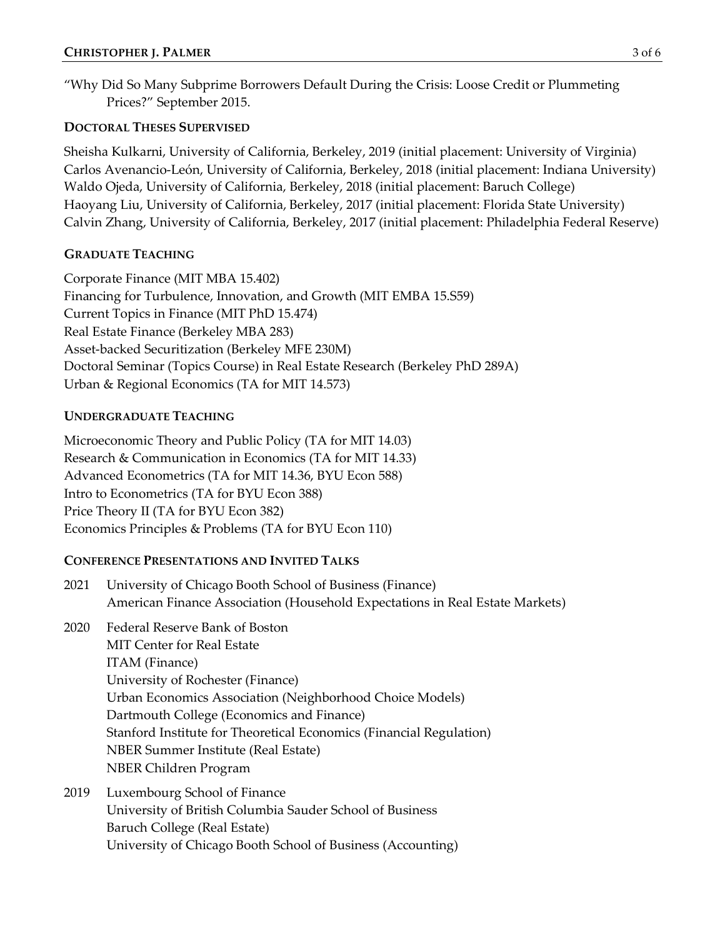"Why Did So Many Subprime Borrowers Default During the Crisis: Loose Credit or Plummeting Prices?" September 2015.

# **DOCTORAL THESES SUPERVISED**

Sheisha Kulkarni, University of California, Berkeley, 2019 (initial placement: University of Virginia) Carlos Avenancio-León, University of California, Berkeley, 2018 (initial placement: Indiana University) Waldo Ojeda, University of California, Berkeley, 2018 (initial placement: Baruch College) Haoyang Liu, University of California, Berkeley, 2017 (initial placement: Florida State University) Calvin Zhang, University of California, Berkeley, 2017 (initial placement: Philadelphia Federal Reserve)

# **GRADUATE TEACHING**

Corporate Finance (MIT MBA 15.402) Financing for Turbulence, Innovation, and Growth (MIT EMBA 15.S59) Current Topics in Finance (MIT PhD 15.474) Real Estate Finance (Berkeley MBA 283) Asset-backed Securitization (Berkeley MFE 230M) Doctoral Seminar (Topics Course) in Real Estate Research (Berkeley PhD 289A) Urban & Regional Economics (TA for MIT 14.573)

# **UNDERGRADUATE TEACHING**

Microeconomic Theory and Public Policy (TA for MIT 14.03) Research & Communication in Economics (TA for MIT 14.33) Advanced Econometrics (TA for MIT 14.36, BYU Econ 588) Intro to Econometrics (TA for BYU Econ 388) Price Theory II (TA for BYU Econ 382) Economics Principles & Problems (TA for BYU Econ 110)

# **CONFERENCE PRESENTATIONS AND INVITED TALKS**

- 2021 University of Chicago Booth School of Business (Finance) American Finance Association (Household Expectations in Real Estate Markets)
- 2020 Federal Reserve Bank of Boston MIT Center for Real Estate ITAM (Finance) University of Rochester (Finance) Urban Economics Association (Neighborhood Choice Models) Dartmouth College (Economics and Finance) Stanford Institute for Theoretical Economics (Financial Regulation) NBER Summer Institute (Real Estate) NBER Children Program
- 2019 Luxembourg School of Finance University of British Columbia Sauder School of Business Baruch College (Real Estate) University of Chicago Booth School of Business (Accounting)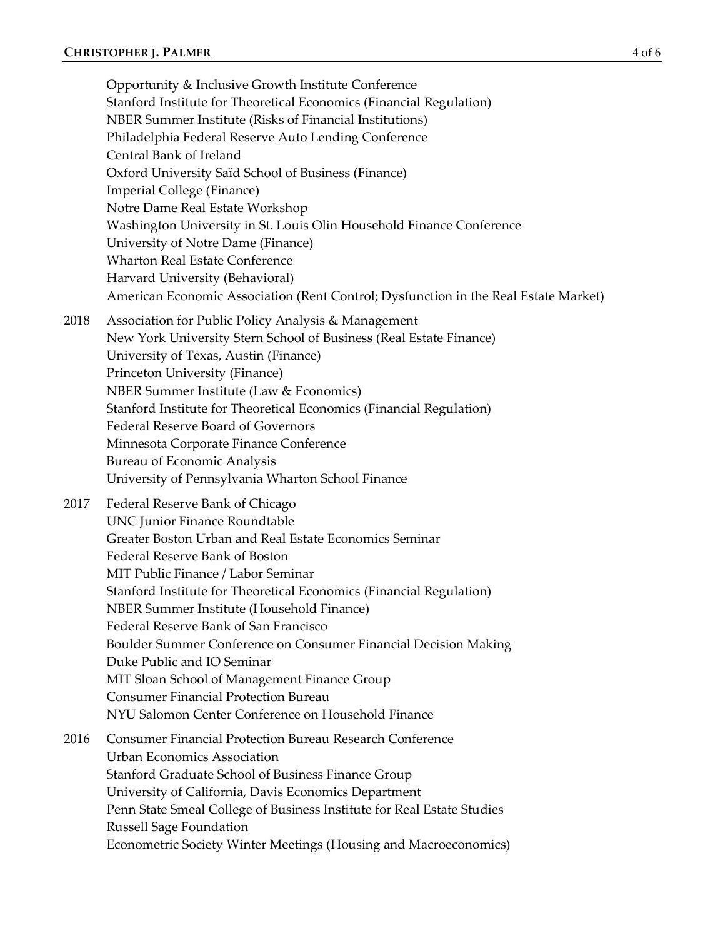Opportunity & Inclusive Growth Institute Conference Stanford Institute for Theoretical Economics (Financial Regulation) NBER Summer Institute (Risks of Financial Institutions) Philadelphia Federal Reserve Auto Lending Conference Central Bank of Ireland Oxford University Saïd School of Business (Finance) Imperial College (Finance) Notre Dame Real Estate Workshop Washington University in St. Louis Olin Household Finance Conference University of Notre Dame (Finance) Wharton Real Estate Conference Harvard University (Behavioral) American Economic Association (Rent Control; Dysfunction in the Real Estate Market) 2018 Association for Public Policy Analysis & Management New York University Stern School of Business (Real Estate Finance) University of Texas, Austin (Finance) Princeton University (Finance) NBER Summer Institute (Law & Economics) Stanford Institute for Theoretical Economics (Financial Regulation) Federal Reserve Board of Governors Minnesota Corporate Finance Conference Bureau of Economic Analysis University of Pennsylvania Wharton School Finance 2017 Federal Reserve Bank of Chicago UNC Junior Finance Roundtable Greater Boston Urban and Real Estate Economics Seminar Federal Reserve Bank of Boston MIT Public Finance / Labor Seminar Stanford Institute for Theoretical Economics (Financial Regulation) NBER Summer Institute (Household Finance) Federal Reserve Bank of San Francisco Boulder Summer Conference on Consumer Financial Decision Making Duke Public and IO Seminar MIT Sloan School of Management Finance Group Consumer Financial Protection Bureau NYU Salomon Center Conference on Household Finance 2016 Consumer Financial Protection Bureau Research Conference Urban Economics Association Stanford Graduate School of Business Finance Group

University of California, Davis Economics Department Penn State Smeal College of Business Institute for Real Estate Studies

Russell Sage Foundation

Econometric Society Winter Meetings (Housing and Macroeconomics)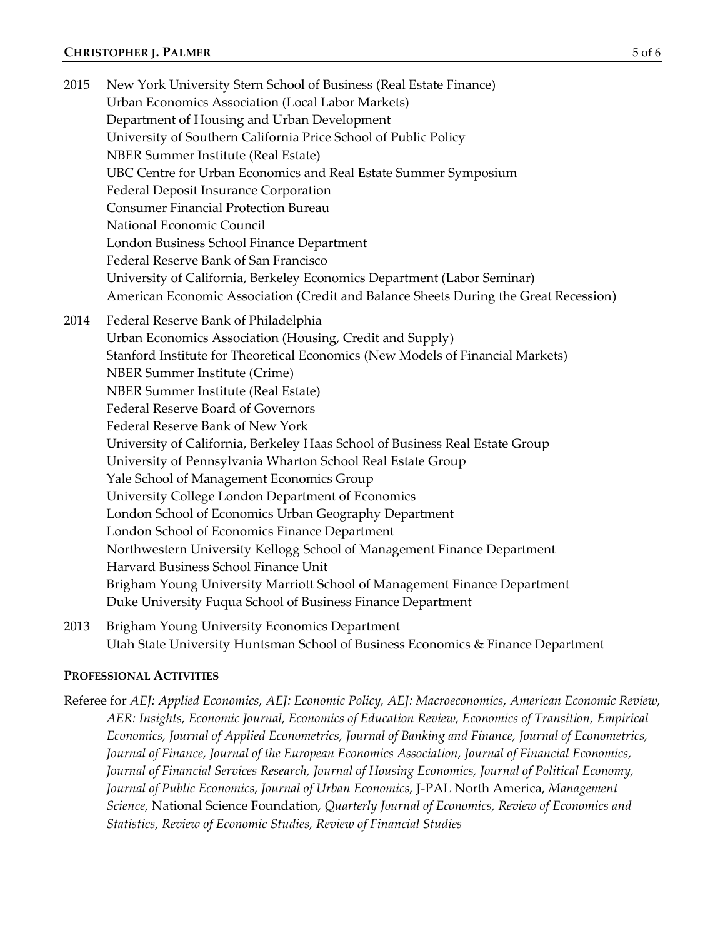### **CHRISTOPHER J. PALMER** 5 of 6

2015 New York University Stern School of Business (Real Estate Finance) Urban Economics Association (Local Labor Markets) Department of Housing and Urban Development University of Southern California Price School of Public Policy NBER Summer Institute (Real Estate) UBC Centre for Urban Economics and Real Estate Summer Symposium Federal Deposit Insurance Corporation Consumer Financial Protection Bureau National Economic Council London Business School Finance Department Federal Reserve Bank of San Francisco University of California, Berkeley Economics Department (Labor Seminar) American Economic Association (Credit and Balance Sheets During the Great Recession) 2014 Federal Reserve Bank of Philadelphia Urban Economics Association (Housing, Credit and Supply) Stanford Institute for Theoretical Economics (New Models of Financial Markets) NBER Summer Institute (Crime) NBER Summer Institute (Real Estate) Federal Reserve Board of Governors Federal Reserve Bank of New York University of California, Berkeley Haas School of Business Real Estate Group University of Pennsylvania Wharton School Real Estate Group Yale School of Management Economics Group University College London Department of Economics London School of Economics Urban Geography Department London School of Economics Finance Department Northwestern University Kellogg School of Management Finance Department Harvard Business School Finance Unit Brigham Young University Marriott School of Management Finance Department Duke University Fuqua School of Business Finance Department

2013 Brigham Young University Economics Department Utah State University Huntsman School of Business Economics & Finance Department

# **PROFESSIONAL ACTIVITIES**

Referee for *AEJ: Applied Economics, AEJ: Economic Policy, AEJ: Macroeconomics, American Economic Review, AER: Insights, Economic Journal, Economics of Education Review, Economics of Transition, Empirical Economics, Journal of Applied Econometrics, Journal of Banking and Finance, Journal of Econometrics, Journal of Finance, Journal of the European Economics Association, Journal of Financial Economics, Journal of Financial Services Research, Journal of Housing Economics, Journal of Political Economy, Journal of Public Economics, Journal of Urban Economics,* J-PAL North America, *Management Science,* National Science Foundation, *Quarterly Journal of Economics, Review of Economics and Statistics, Review of Economic Studies, Review of Financial Studies*